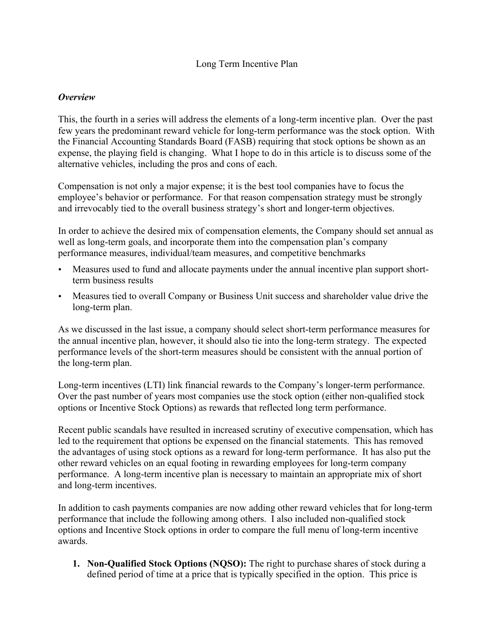#### Long Term Incentive Plan

#### *Overview*

This, the fourth in a series will address the elements of a long-term incentive plan. Over the past few years the predominant reward vehicle for long-term performance was the stock option. With the Financial Accounting Standards Board (FASB) requiring that stock options be shown as an expense, the playing field is changing. What I hope to do in this article is to discuss some of the alternative vehicles, including the pros and cons of each.

Compensation is not only a major expense; it is the best tool companies have to focus the employee's behavior or performance. For that reason compensation strategy must be strongly and irrevocably tied to the overall business strategy's short and longer-term objectives.

In order to achieve the desired mix of compensation elements, the Company should set annual as well as long-term goals, and incorporate them into the compensation plan's company performance measures, individual/team measures, and competitive benchmarks

- Measures used to fund and allocate payments under the annual incentive plan support shortterm business results
- Measures tied to overall Company or Business Unit success and shareholder value drive the long-term plan.

As we discussed in the last issue, a company should select short-term performance measures for the annual incentive plan, however, it should also tie into the long-term strategy. The expected performance levels of the short-term measures should be consistent with the annual portion of the long-term plan.

Long-term incentives (LTI) link financial rewards to the Company's longer-term performance. Over the past number of years most companies use the stock option (either non-qualified stock options or Incentive Stock Options) as rewards that reflected long term performance.

Recent public scandals have resulted in increased scrutiny of executive compensation, which has led to the requirement that options be expensed on the financial statements. This has removed the advantages of using stock options as a reward for long-term performance. It has also put the other reward vehicles on an equal footing in rewarding employees for long-term company performance. A long-term incentive plan is necessary to maintain an appropriate mix of short and long-term incentives.

In addition to cash payments companies are now adding other reward vehicles that for long-term performance that include the following among others. I also included non-qualified stock options and Incentive Stock options in order to compare the full menu of long-term incentive awards.

1. Non-Qualified Stock Options (NQSO): The right to purchase shares of stock during a defined period of time at a price that is typically specified in the option. This price is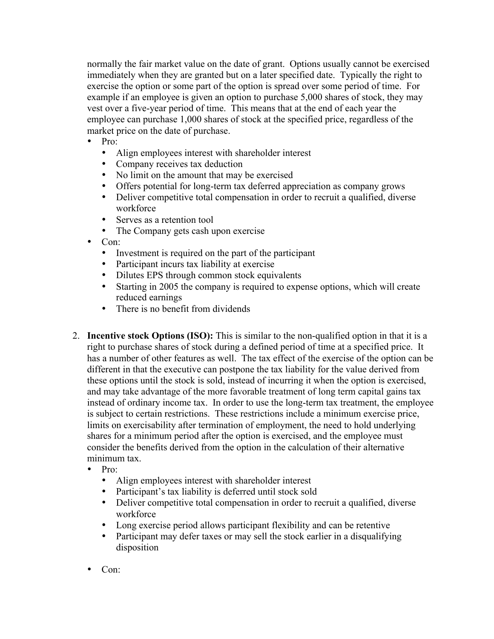normally the fair market value on the date of grant. Options usually cannot be exercised immediately when they are granted but on a later specified date. Typically the right to exercise the option or some part of the option is spread over some period of time. For example if an employee is given an option to purchase 5,000 shares of stock, they may vest over a five-year period of time. This means that at the end of each year the employee can purchase 1,000 shares of stock at the specified price, regardless of the market price on the date of purchase.

- Pro:
	- Align employees interest with shareholder interest
	- Company receives tax deduction
	- No limit on the amount that may be exercised
	- Offers potential for long-term tax deferred appreciation as company grows
	- Deliver competitive total compensation in order to recruit a qualified, diverse workforce
	- Serves as a retention tool
	- The Company gets cash upon exercise
- Con:
	- Investment is required on the part of the participant
	- Participant incurs tax liability at exercise
	- Dilutes EPS through common stock equivalents
	- Starting in 2005 the company is required to expense options, which will create reduced earnings
	- There is no benefit from dividends
- 2. Incentive stock Options (ISO): This is similar to the non-qualified option in that it is a right to purchase shares of stock during a defined period of time at a specified price. It has a number of other features as well. The tax effect of the exercise of the option can be different in that the executive can postpone the tax liability for the value derived from these options until the stock is sold, instead of incurring it when the option is exercised, and may take advantage of the more favorable treatment of long term capital gains tax instead of ordinary income tax. In order to use the long-term tax treatment, the employee is subject to certain restrictions. These restrictions include a minimum exercise price, limits on exercisability after termination of employment, the need to hold underlying shares for a minimum period after the option is exercised, and the employee must consider the benefits derived from the option in the calculation of their alternative minimum tax.
	- $\bullet$  Pro:
		- Align employees interest with shareholder interest
		- Participant's tax liability is deferred until stock sold
		- Deliver competitive total compensation in order to recruit a qualified, diverse workforce
		- Long exercise period allows participant flexibility and can be retentive
		- Participant may defer taxes or may sell the stock earlier in a disqualifying disposition
	- Con: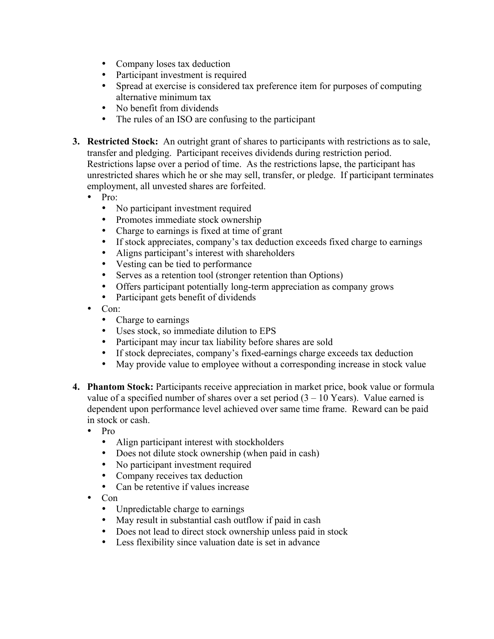- Company loses tax deduction
- Participant investment is required
- Spread at exercise is considered tax preference item for purposes of computing alternative minimum tax
- No benefit from dividends
- The rules of an ISO are confusing to the participant
- 3. Restricted Stock: An outright grant of shares to participants with restrictions as to sale, transfer and pledging. Participant receives dividends during restriction period. Restrictions lapse over a period of time. As the restrictions lapse, the participant has unrestricted shares which he or she may sell, transfer, or pledge. If participant terminates employment, all unvested shares are forfeited.
	- Pro:
		- No participant investment required
		- Promotes immediate stock ownership
		- Charge to earnings is fixed at time of grant
		- If stock appreciates, company's tax deduction exceeds fixed charge to earnings<br>• Aligns participant's interest with shareholders
		- Aligns participant's interest with shareholders
		- Vesting can be tied to performance<br>• Serves as a retention tool (stronger)
		- Serves as a retention tool (stronger retention than Options)
		- Offers participant potentially long-term appreciation as company grows
		- Participant gets benefit of dividends
	- Con:
		- Charge to earnings
		- Uses stock, so immediate dilution to EPS
		- Participant may incur tax liability before shares are sold
		- If stock depreciates, company's fixed-earnings charge exceeds tax deduction
		- May provide value to employee without a corresponding increase in stock value
- 4. Phantom Stock: Participants receive appreciation in market price, book value or formula value of a specified number of shares over a set period  $(3 - 10$  Years). Value earned is dependent upon performance level achieved over same time frame. Reward can be paid in stock or cash.
	- Pro
		- Align participant interest with stockholders
		- Does not dilute stock ownership (when paid in cash)
		- No participant investment required
		- Company receives tax deduction
		- Can be retentive if values increase
	- Con
		- Unpredictable charge to earnings
		- May result in substantial cash outflow if paid in cash
		- Does not lead to direct stock ownership unless paid in stock
		- Less flexibility since valuation date is set in advance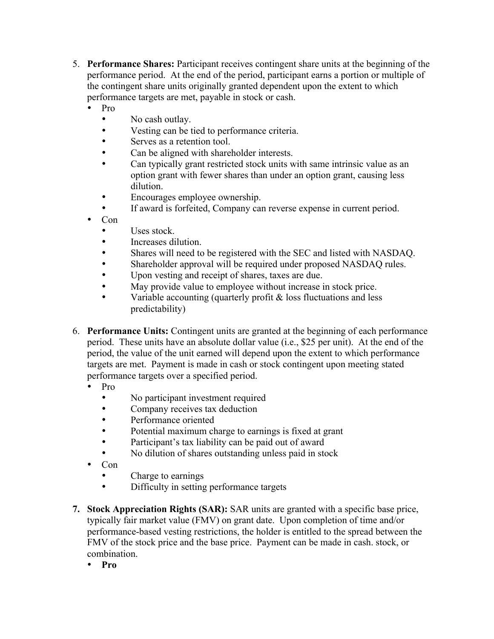- 5. Performance Shares: Participant receives contingent share units at the beginning of the performance period. At the end of the period, participant earns a portion or multiple of the contingent share units originally granted dependent upon the extent to which performance targets are met, payable in stock or cash.
	- Pro
		- No cash outlay.
		- Vesting can be tied to performance criteria.
		- Serves as a retention tool.
		- Can be aligned with shareholder interests.
		- Can typically grant restricted stock units with same intrinsic value as an option grant with fewer shares than under an option grant, causing less dilution.
		- Encourages employee ownership.
		- If award is forfeited, Company can reverse expense in current period.
	- Con
		- Uses stock.
		- Increases dilution.
		- Shares will need to be registered with the SEC and listed with NASDAQ.
		- Shareholder approval will be required under proposed NASDAQ rules.
		- Upon vesting and receipt of shares, taxes are due.
		- May provide value to employee without increase in stock price.
		- Variable accounting (quarterly profit  $\&$  loss fluctuations and less predictability)
- 6. Performance Units: Contingent units are granted at the beginning of each performance period. These units have an absolute dollar value (i.e., \$25 per unit). At the end of the period, the value of the unit earned will depend upon the extent to which performance targets are met. Payment is made in cash or stock contingent upon meeting stated performance targets over a specified period.
	- Pro
		- No participant investment required
		- Company receives tax deduction
		- Performance oriented
		- Potential maximum charge to earnings is fixed at grant
		- Participant's tax liability can be paid out of award
		- No dilution of shares outstanding unless paid in stock
	- Con
		- Charge to earnings
		- Difficulty in setting performance targets
- 7. Stock Appreciation Rights (SAR): SAR units are granted with a specific base price, typically fair market value (FMV) on grant date. Upon completion of time and/or performance-based vesting restrictions, the holder is entitled to the spread between the FMV of the stock price and the base price. Payment can be made in cash. stock, or combination.
	- Pro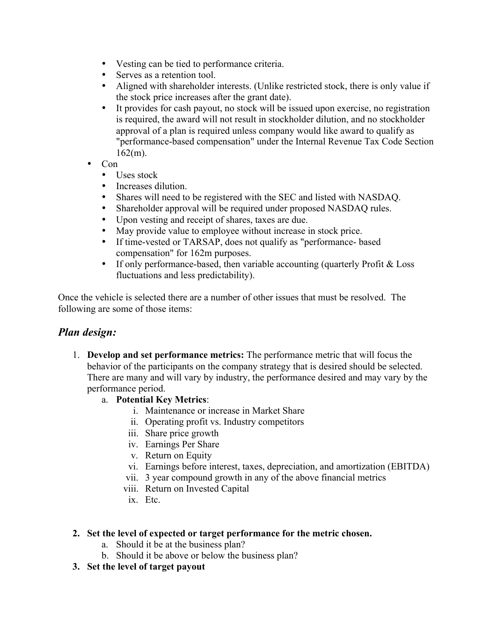- Vesting can be tied to performance criteria.
- Serves as a retention tool.
- Aligned with shareholder interests. (Unlike restricted stock, there is only value if the stock price increases after the grant date).
- It provides for cash payout, no stock will be issued upon exercise, no registration is required, the award will not result in stockholder dilution, and no stockholder approval of a plan is required unless company would like award to qualify as "performance-based compensation" under the Internal Revenue Tax Code Section  $162(m)$ .
- Con
	- Uses stock
	- Increases dilution.
	- Shares will need to be registered with the SEC and listed with NASDAQ.<br>• Shareholder approval will be required under proposed NASDAO rules.
	- Shareholder approval will be required under proposed NASDAQ rules.
	- Upon vesting and receipt of shares, taxes are due.<br>• May provide value to employee without increase i
	- May provide value to employee without increase in stock price.
	- If time-vested or TARSAP, does not qualify as "performance- based compensation" for 162m purposes.
	- If only performance-based, then variable accounting (quarterly Profit  $& Loss$ fluctuations and less predictability).

Once the vehicle is selected there are a number of other issues that must be resolved. The following are some of those items:

# *Plan design:*

- 1. Develop and set performance metrics: The performance metric that will focus the behavior of the participants on the company strategy that is desired should be selected. There are many and will vary by industry, the performance desired and may vary by the performance period.
	- a. Potential Key Metrics:
		- i. Maintenance or increase in Market Share
		- ii. Operating profit vs. Industry competitors
		- iii. Share price growth
		- iv. Earnings Per Share
		- v. Return on Equity
		- vi. Earnings before interest, taxes, depreciation, and amortization (EBITDA)
		- vii. 3 year compound growth in any of the above financial metrics
		- viii. Return on Invested Capital
			- ix. Etc.

## 2. Set the level of expected or target performance for the metric chosen.

- a. Should it be at the business plan?
- b. Should it be above or below the business plan?
- 3. Set the level of target payout